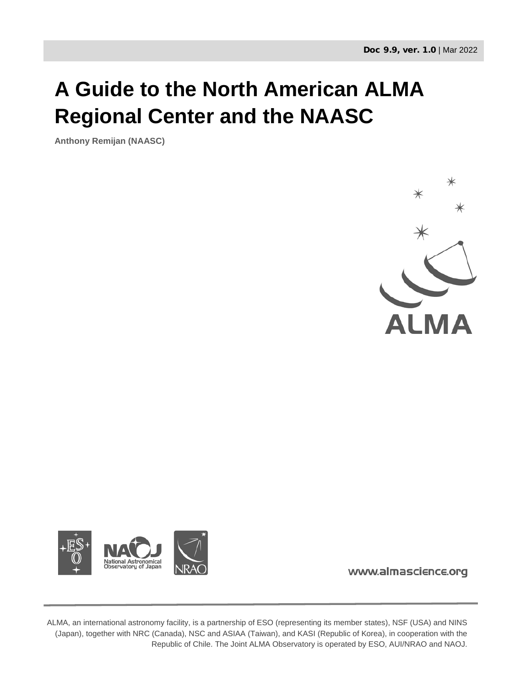# **A Guide to the North American ALMA Regional Center and the NAASC**

**Anthony Remijan (NAASC)**





www.almascience.org

ALMA, an international astronomy facility, is a partnership of ESO (representing its member states), NSF (USA) and NINS (Japan), together with NRC (Canada), NSC and ASIAA (Taiwan), and KASI (Republic of Korea), in cooperation with the Republic of Chile. The Joint ALMA Observatory is operated by ESO, AUI/NRAO and NAOJ.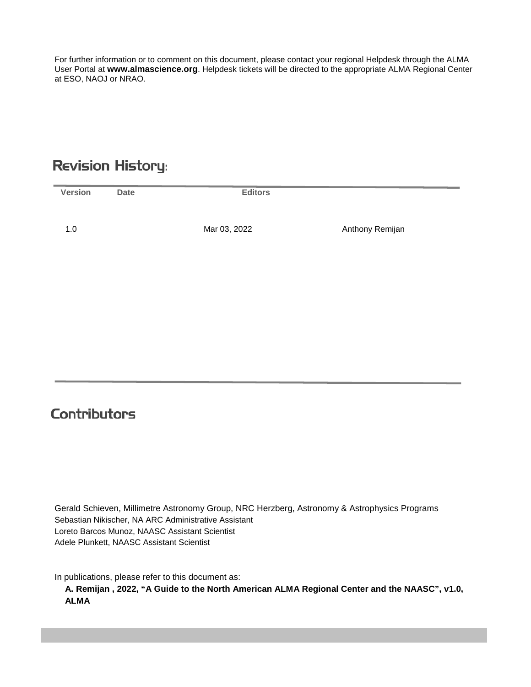For further information or to comment on this document, please contact your regional Helpdesk through the ALMA User Portal at **www.almascience.org**. Helpdesk tickets will be directed to the appropriate ALMA Regional Center at ESO, NAOJ or NRAO.

# **Revision History:**

| <b>Version</b> | <b>Date</b> | <b>Editors</b> |                 |
|----------------|-------------|----------------|-----------------|
| 1.0            |             | Mar 03, 2022   | Anthony Remijan |
|                |             |                |                 |

## **Contributors**

Gerald Schieven, Millimetre Astronomy Group, NRC Herzberg, Astronomy & Astrophysics Programs Sebastian Nikischer, NA ARC Administrative Assistant Loreto Barcos Munoz, NAASC Assistant Scientist Adele Plunkett, NAASC Assistant Scientist

In publications, please refer to this document as:

**A. Remijan , 2022, "A Guide to the North American ALMA Regional Center and the NAASC", v1.0, ALMA**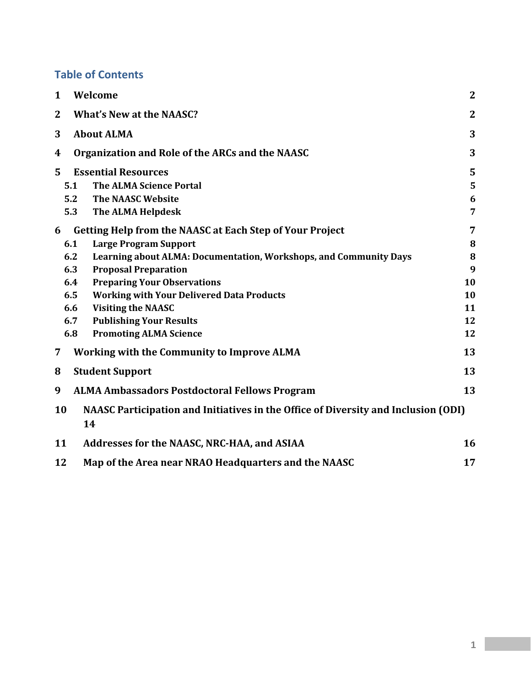## **Table of Contents**

| $\mathbf{2}$                                                                       |
|------------------------------------------------------------------------------------|
| $\overline{2}$                                                                     |
| 3                                                                                  |
| 3                                                                                  |
| 5                                                                                  |
| 5                                                                                  |
| 6                                                                                  |
| 7                                                                                  |
| 7                                                                                  |
| 8                                                                                  |
| Learning about ALMA: Documentation, Workshops, and Community Days<br>8             |
| 9                                                                                  |
| 10                                                                                 |
| 10                                                                                 |
| 11                                                                                 |
| 12                                                                                 |
| 12                                                                                 |
| 13                                                                                 |
| 13                                                                                 |
| 13                                                                                 |
| NAASC Participation and Initiatives in the Office of Diversity and Inclusion (ODI) |
| 16                                                                                 |
| 17                                                                                 |
|                                                                                    |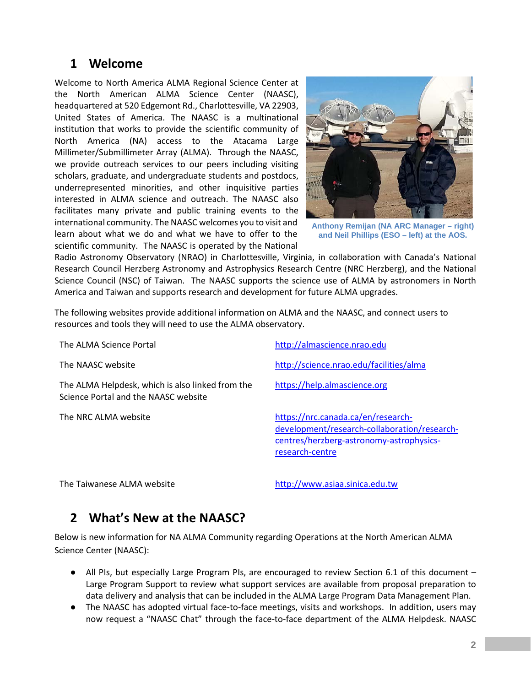## <span id="page-3-0"></span>**1 Welcome**

Welcome to North America ALMA Regional Science Center at the North American ALMA Science Center (NAASC), headquartered at 520 Edgemont Rd., Charlottesville, VA 22903, United States of America. The NAASC is a multinational institution that works to provide the scientific community of North America (NA) access to the Atacama Large Millimeter/Submillimeter Array (ALMA). Through the NAASC, we provide outreach services to our peers including visiting scholars, graduate, and undergraduate students and postdocs, underrepresented minorities, and other inquisitive parties interested in ALMA science and outreach. The NAASC also facilitates many private and public training events to the international community. The NAASC welcomes you to visit and learn about what we do and what we have to offer to the scientific community. The NAASC is operated by the National



**Anthony Remijan (NA ARC Manager – right) and Neil Phillips (ESO – left) at the AOS.**

Radio Astronomy Observatory (NRAO) in Charlottesville, Virginia, in collaboration with Canada's National Research Council Herzberg Astronomy and Astrophysics Research Centre (NRC Herzberg), and the National Science Council (NSC) of Taiwan. The NAASC supports the science use of ALMA by astronomers in North America and Taiwan and supports research and development for future ALMA upgrades.

The following websites provide additional information on ALMA and the NAASC, and connect users to resources and tools they will need to use the ALMA observatory.

The ALMA Helpdesk, which is also linked from the Science Portal and the NAASC website

The ALMA Science Portal **[http://almascience.nrao.edu](http://almascience.nrao.edu/)** 

The NAASC website <http://science.nrao.edu/facilities/alma>

[https://help.almascience.org](https://help.almascience.org/)

The NRC ALMA website [https://nrc.canada.ca/en/research](https://nrc.canada.ca/en/research-development/research-collaboration/research-centres/herzberg-astronomy-astrophysics-research-centre)[development/research-collaboration/research](https://nrc.canada.ca/en/research-development/research-collaboration/research-centres/herzberg-astronomy-astrophysics-research-centre)[centres/herzberg-astronomy-astrophysics](https://nrc.canada.ca/en/research-development/research-collaboration/research-centres/herzberg-astronomy-astrophysics-research-centre)[research-centre](https://nrc.canada.ca/en/research-development/research-collaboration/research-centres/herzberg-astronomy-astrophysics-research-centre)

<span id="page-3-1"></span>The Taiwanese ALMA website [http://www.asiaa.sinica.edu.tw](http://www.asiaa.sinica.edu.tw/)

## **2 What's New at the NAASC?**

Below is new information for NA ALMA Community regarding Operations at the North American ALMA Science Center (NAASC):

- All PIs, but especially Large Program PIs, are encouraged to review Section 6.1 of this document Large Program Support to review what support services are available from proposal preparation to data delivery and analysis that can be included in the ALMA Large Program Data Management Plan.
- The NAASC has adopted virtual face-to-face meetings, visits and workshops. In addition, users may now request a "NAASC Chat" through the face-to-face department of the ALMA Helpdesk. NAASC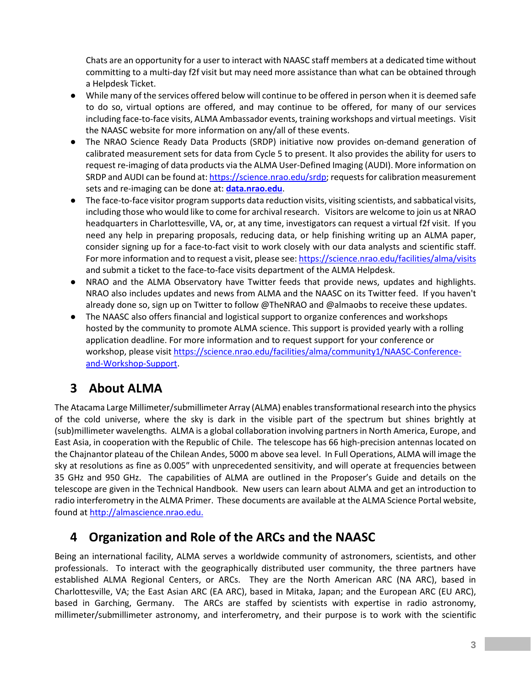Chats are an opportunity for a user to interact with NAASC staff members at a dedicated time without committing to a multi-day f2f visit but may need more assistance than what can be obtained through a Helpdesk Ticket.

- While many of the services offered below will continue to be offered in person when it is deemed safe to do so, virtual options are offered, and may continue to be offered, for many of our services including face-to-face visits, ALMA Ambassador events, training workshops and virtual meetings. Visit the NAASC website for more information on any/all of these events.
- The NRAO Science Ready Data Products (SRDP) initiative now provides on-demand generation of calibrated measurement sets for data from Cycle 5 to present. It also provides the ability for users to request re-imaging of data products via the ALMA User-Defined Imaging (AUDI). More information on SRDP and AUDI can be found at[: https://science.nrao.edu/srdp;](https://science.nrao.edu/srdp) requests for calibration measurement sets and re-imaging can be done at: **[data.nrao.edu](https://data.nrao.edu/)**.
- The face-to-face visitor program supports data reduction visits, visiting scientists, and sabbatical visits, including those who would like to come for archival research. Visitors are welcome to join us at NRAO headquarters in Charlottesville, VA, or, at any time, investigators can request a virtual f2f visit. If you need any help in preparing proposals, reducing data, or help finishing writing up an ALMA paper, consider signing up for a face-to-fact visit to work closely with our data analysts and scientific staff. For more information and to request a visit, please see[:](https://science.nrao.edu/facilities/alma/visits) <https://science.nrao.edu/facilities/alma/visits> and submit a ticket to the face-to-face visits department of the ALMA Helpdesk.
- NRAO and the ALMA Observatory have Twitter feeds that provide news, updates and highlights. NRAO also includes updates and news from ALMA and the NAASC on its Twitter feed. If you haven't already done so, sign up on Twitter to follow @TheNRAO and @almaobs to receive these updates.
- The NAASC also offers financial and logistical support to organize conferences and workshops hosted by the community to promote ALMA science. This support is provided yearly with a rolling application deadline. For more information and to request support for your conference or workshop, please visit [https://science.nrao.edu/facilities/alma/community1/NAASC-Conference](https://science.nrao.edu/facilities/alma/community1/NAASC-Conference-and-Workshop-Support)[and-Workshop-Support.](https://science.nrao.edu/facilities/alma/community1/NAASC-Conference-and-Workshop-Support)

# <span id="page-4-0"></span>**3 About ALMA**

The Atacama Large Millimeter/submillimeter Array (ALMA) enables transformational research into the physics of the cold universe, where the sky is dark in the visible part of the spectrum but shines brightly at (sub)millimeter wavelengths. ALMA is a global collaboration involving partners in North America, Europe, and East Asia, in cooperation with the Republic of Chile. The telescope has 66 high-precision antennas located on the Chajnantor plateau of the Chilean Andes, 5000 m above sea level. In Full Operations, ALMA will image the sky at resolutions as fine as 0.005" with unprecedented sensitivity, and will operate at frequencies between 35 GHz and 950 GHz. The capabilities of ALMA are outlined in the Proposer's Guide and details on the telescope are given in the Technical Handbook. New users can learn about ALMA and get an introduction to radio interferometry in the ALMA Primer. These documents are available at the ALMA Science Portal website, found a[t http://almascience.nrao.edu.](http://almascience.nrao.edu/)

# <span id="page-4-1"></span>**4 Organization and Role of the ARCs and the NAASC**

Being an international facility, ALMA serves a worldwide community of astronomers, scientists, and other professionals. To interact with the geographically distributed user community, the three partners have established ALMA Regional Centers, or ARCs. They are the North American ARC (NA ARC), based in Charlottesville, VA; the East Asian ARC (EA ARC), based in Mitaka, Japan; and the European ARC (EU ARC), based in Garching, Germany. The ARCs are staffed by scientists with expertise in radio astronomy, millimeter/submillimeter astronomy, and interferometry, and their purpose is to work with the scientific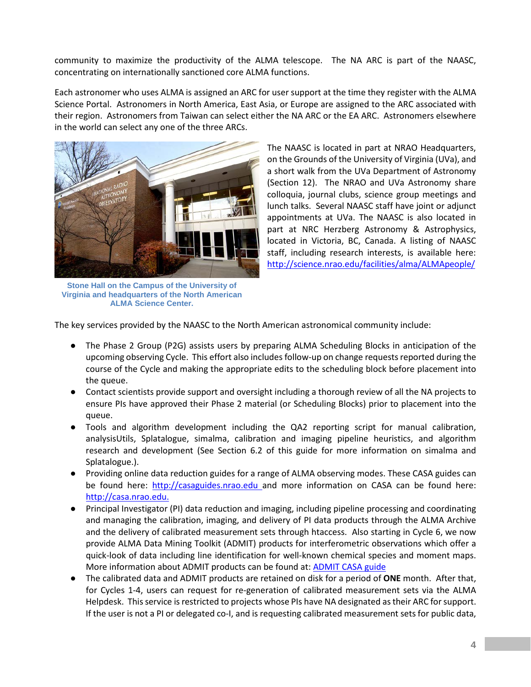community to maximize the productivity of the ALMA telescope. The NA ARC is part of the NAASC, concentrating on internationally sanctioned core ALMA functions.

Each astronomer who uses ALMA is assigned an ARC for user support at the time they register with the ALMA Science Portal. Astronomers in North America, East Asia, or Europe are assigned to the ARC associated with their region. Astronomers from Taiwan can select either the NA ARC or the EA ARC. Astronomers elsewhere in the world can select any one of the three ARCs.



**Stone Hall on the Campus of the University of Virginia and headquarters of the North American ALMA Science Center.**

The NAASC is located in part at NRAO Headquarters, on the Grounds of the University of Virginia (UVa), and a short walk from the UVa Department of Astronomy (Section 12). The NRAO and UVa Astronomy share colloquia, journal clubs, science group meetings and lunch talks. Several NAASC staff have joint or adjunct appointments at UVa. The NAASC is also located in part at NRC Herzberg Astronomy & Astrophysics, located in Victoria, BC, Canada. A listing of NAASC staff, including research interests, is available here: <http://science.nrao.edu/facilities/alma/ALMApeople/>

The key services provided by the NAASC to the North American astronomical community include:

- The Phase 2 Group (P2G) assists users by preparing ALMA Scheduling Blocks in anticipation of the upcoming observing Cycle. This effort also includes follow-up on change requests reported during the course of the Cycle and making the appropriate edits to the scheduling block before placement into the queue.
- Contact scientists provide support and oversight including a thorough review of all the NA projects to ensure PIs have approved their Phase 2 material (or Scheduling Blocks) prior to placement into the queue.
- Tools and algorithm development including the QA2 reporting script for manual calibration, analysisUtils, Splatalogue, simalma, calibration and imaging pipeline heuristics, and algorithm research and development (See Section 6.2 of this guide for more information on simalma and Splatalogue.).
- Providing online data reduction guides for a range of ALMA observing modes. These CASA guides can be found here: [http://casaguides.nrao.edu](http://casaguides.nrao.edu/) and more information on CASA can be found here: [http://casa.nrao.edu.](http://casa.nrao.edu/)
- Principal Investigator (PI) data reduction and imaging, including pipeline processing and coordinating and managing the calibration, imaging, and delivery of PI data products through the ALMA Archive and the delivery of calibrated measurement sets through htaccess. Also starting in Cycle 6, we now provide ALMA Data Mining Toolkit (ADMIT) products for interferometric observations which offer a quick-look of data including line identification for well-known chemical species and moment maps. More information about ADMIT products can be found at: [ADMIT CASA guide](https://casaguides.nrao.edu/index.php?title=ADMIT_Products_and_Usage)
- The calibrated data and ADMIT products are retained on disk for a period of **ONE** month. After that, for Cycles 1-4, users can request for re-generation of calibrated measurement sets via the ALMA Helpdesk. This service is restricted to projects whose PIs have NA designated as their ARC for support. If the user is not a PI or delegated co-I, and is requesting calibrated measurement sets for public data,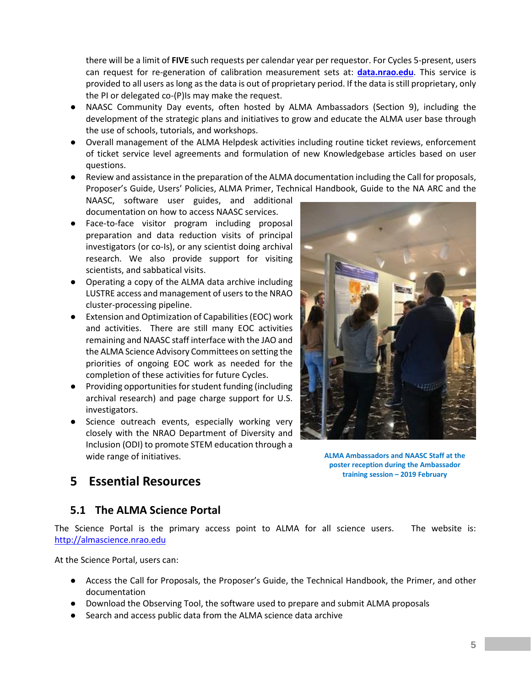there will be a limit of **FIVE** such requests per calendar year per requestor. For Cycles 5-present, users can request for re-generation of calibration measurement sets at: **[data.nrao.edu](https://data.nrao.edu/)**. This service is provided to all users as long as the data is out of proprietary period. If the data is still proprietary, only the PI or delegated co-(P)Is may make the request.

- NAASC Community Day events, often hosted by ALMA Ambassadors (Section 9), including the development of the strategic plans and initiatives to grow and educate the ALMA user base through the use of schools, tutorials, and workshops.
- Overall management of the ALMA Helpdesk activities including routine ticket reviews, enforcement of ticket service level agreements and formulation of new Knowledgebase articles based on user questions.
- Review and assistance in the preparation of the ALMA documentation including the Call for proposals, Proposer's Guide, Users' Policies, ALMA Primer, Technical Handbook, Guide to the NA ARC and the

NAASC, software user guides, and additional documentation on how to access NAASC services.

- Face-to-face visitor program including proposal preparation and data reduction visits of principal investigators (or co-Is), or any scientist doing archival research. We also provide support for visiting scientists, and sabbatical visits.
- Operating a copy of the ALMA data archive including LUSTRE access and management of users to the NRAO cluster-processing pipeline.
- Extension and Optimization of Capabilities (EOC) work and activities. There are still many EOC activities remaining and NAASC staff interface with the JAO and the ALMA Science Advisory Committees on setting the priorities of ongoing EOC work as needed for the completion of these activities for future Cycles.
- Providing opportunities for student funding (including archival research) and page charge support for U.S. investigators.
- Science outreach events, especially working very closely with the NRAO Department of Diversity and Inclusion (ODI) to promote STEM education through a wide range of initiatives.



**ALMA Ambassadors and NAASC Staff at the poster reception during the Ambassador training session – 2019 February**

## <span id="page-6-0"></span>**5 Essential Resources**

#### <span id="page-6-1"></span>**5.1 The ALMA Science Portal**

The Science Portal is the primary access point to ALMA for all science users. The website is: [http://almascience.nrao.edu](http://almascience.nrao.edu/)

At the Science Portal, users can:

- Access the Call for Proposals, the Proposer's Guide, the Technical Handbook, the Primer, and other documentation
- Download the Observing Tool, the software used to prepare and submit ALMA proposals
- Search and access public data from the ALMA science data archive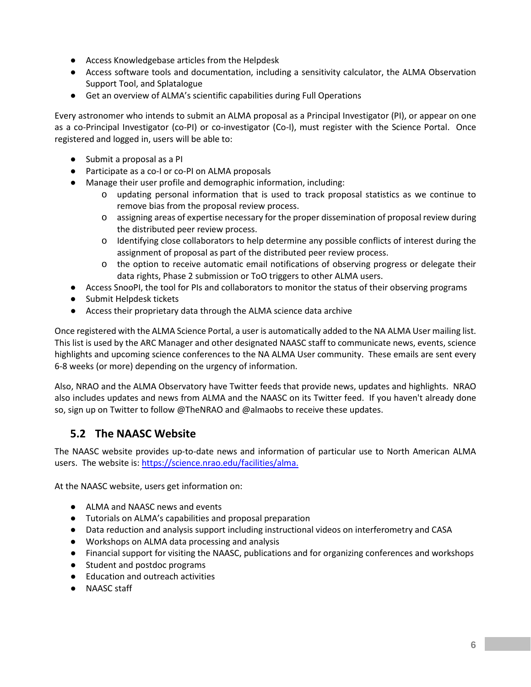- Access Knowledgebase articles from the Helpdesk
- Access software tools and documentation, including a sensitivity calculator, the ALMA Observation Support Tool, and Splatalogue
- Get an overview of ALMA's scientific capabilities during Full Operations

Every astronomer who intends to submit an ALMA proposal as a Principal Investigator (PI), or appear on one as a co-Principal Investigator (co-PI) or co-investigator (Co-I), must register with the Science Portal. Once registered and logged in, users will be able to:

- Submit a proposal as a PI
- Participate as a co-I or co-PI on ALMA proposals
- Manage their user profile and demographic information, including:
	- o updating personal information that is used to track proposal statistics as we continue to remove bias from the proposal review process.
	- o assigning areas of expertise necessary for the proper dissemination of proposal review during the distributed peer review process.
	- o Identifying close collaborators to help determine any possible conflicts of interest during the assignment of proposal as part of the distributed peer review process.
	- o the option to receive automatic email notifications of observing progress or delegate their data rights, Phase 2 submission or ToO triggers to other ALMA users.
- Access SnooPI, the tool for PIs and collaborators to monitor the status of their observing programs
- Submit Helpdesk tickets
- Access their proprietary data through the ALMA science data archive

Once registered with the ALMA Science Portal, a user is automatically added to the NA ALMA User mailing list. This list is used by the ARC Manager and other designated NAASC staff to communicate news, events, science highlights and upcoming science conferences to the NA ALMA User community. These emails are sent every 6-8 weeks (or more) depending on the urgency of information.

Also, NRAO and the ALMA Observatory have Twitter feeds that provide news, updates and highlights. NRAO also includes updates and news from ALMA and the NAASC on its Twitter feed. If you haven't already done so, sign up on Twitter to follow @TheNRAO and @almaobs to receive these updates.

#### <span id="page-7-0"></span>**5.2 The NAASC Website**

The NAASC website provides up-to-date news and information of particular use to North American ALMA users. The website is: [https://science.nrao.edu/facilities/alma.](https://science.nrao.edu/facilities/alma)

At the NAASC website, users get information on:

- ALMA and NAASC news and events
- Tutorials on ALMA's capabilities and proposal preparation
- Data reduction and analysis support including instructional videos on interferometry and CASA
- Workshops on ALMA data processing and analysis
- Financial support for visiting the NAASC, publications and for organizing conferences and workshops
- Student and postdoc programs
- **Education and outreach activities**
- NAASC staff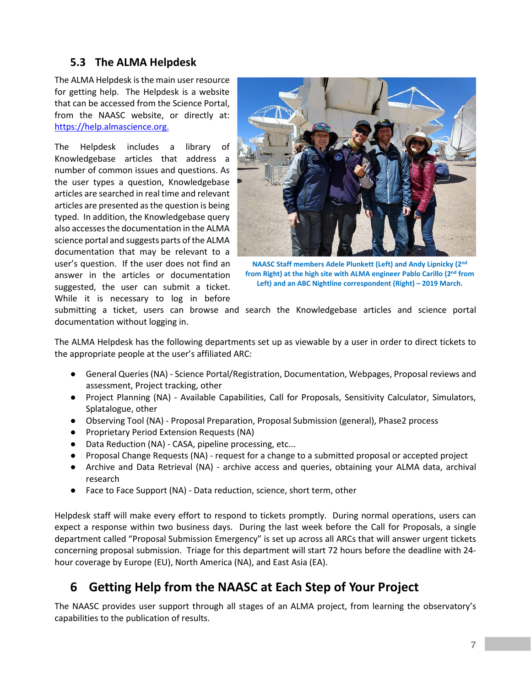#### <span id="page-8-0"></span>**5.3 The ALMA Helpdesk**

The ALMA Helpdesk is the main user resource for getting help. The Helpdesk is a website that can be accessed from the Science Portal, from the NAASC website, or directly at: [https://help.almascience.org.](https://help.almascience.org/)

The Helpdesk includes a library of Knowledgebase articles that address a number of common issues and questions. As the user types a question, Knowledgebase articles are searched in real time and relevant articles are presented as the question is being typed. In addition, the Knowledgebase query also accesses the documentation in the ALMA science portal and suggests parts of the ALMA documentation that may be relevant to a user's question. If the user does not find an answer in the articles or documentation suggested, the user can submit a ticket. While it is necessary to log in before



**NAASC Staff members Adele Plunkett (Left) and Andy Lipnicky (2nd from Right) at the high site with ALMA engineer Pablo Carillo (2nd from Left) and an ABC Nightline correspondent (Right) – 2019 March.**

submitting a ticket, users can browse and search the Knowledgebase articles and science portal documentation without logging in.

The ALMA Helpdesk has the following departments set up as viewable by a user in order to direct tickets to the appropriate people at the user's affiliated ARC:

- General Queries (NA) Science Portal/Registration, Documentation, Webpages, Proposal reviews and assessment, Project tracking, other
- Project Planning (NA) Available Capabilities, Call for Proposals, Sensitivity Calculator, Simulators, Splatalogue, other
- Observing Tool (NA) Proposal Preparation, Proposal Submission (general), Phase2 process
- Proprietary Period Extension Requests (NA)
- Data Reduction (NA) CASA, pipeline processing, etc...
- Proposal Change Requests (NA) request for a change to a submitted proposal or accepted project
- Archive and Data Retrieval (NA) archive access and queries, obtaining your ALMA data, archival research
- Face to Face Support (NA) Data reduction, science, short term, other

Helpdesk staff will make every effort to respond to tickets promptly. During normal operations, users can expect a response within two business days. During the last week before the Call for Proposals, a single department called "Proposal Submission Emergency" is set up across all ARCs that will answer urgent tickets concerning proposal submission. Triage for this department will start 72 hours before the deadline with 24 hour coverage by Europe (EU), North America (NA), and East Asia (EA).

## <span id="page-8-1"></span>**6 Getting Help from the NAASC at Each Step of Your Project**

The NAASC provides user support through all stages of an ALMA project, from learning the observatory's capabilities to the publication of results.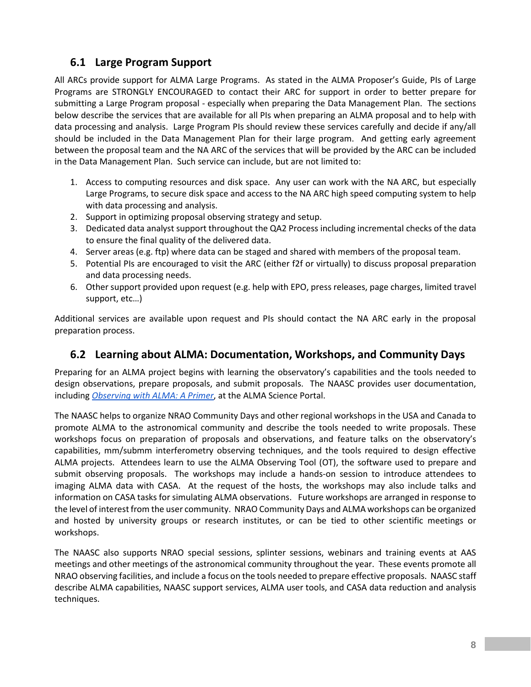#### <span id="page-9-0"></span>**6.1 Large Program Support**

All ARCs provide support for ALMA Large Programs. As stated in the ALMA Proposer's Guide, PIs of Large Programs are STRONGLY ENCOURAGED to contact their ARC for support in order to better prepare for submitting a Large Program proposal - especially when preparing the Data Management Plan. The sections below describe the services that are available for all PIs when preparing an ALMA proposal and to help with data processing and analysis. Large Program PIs should review these services carefully and decide if any/all should be included in the Data Management Plan for their large program. And getting early agreement between the proposal team and the NA ARC of the services that will be provided by the ARC can be included in the Data Management Plan. Such service can include, but are not limited to:

- 1. Access to computing resources and disk space. Any user can work with the NA ARC, but especially Large Programs, to secure disk space and access to the NA ARC high speed computing system to help with data processing and analysis.
- 2. Support in optimizing proposal observing strategy and setup.
- 3. Dedicated data analyst support throughout the QA2 Process including incremental checks of the data to ensure the final quality of the delivered data.
- 4. Server areas (e.g. ftp) where data can be staged and shared with members of the proposal team.
- 5. Potential PIs are encouraged to visit the ARC (either f2f or virtually) to discuss proposal preparation and data processing needs.
- 6. Other support provided upon request (e.g. help with EPO, press releases, page charges, limited travel support, etc…)

Additional services are available upon request and PIs should contact the NA ARC early in the proposal preparation process.

#### <span id="page-9-1"></span>**6.2 Learning about ALMA: Documentation, Workshops, and Community Days**

Preparing for an ALMA project begins with learning the observatory's capabilities and the tools needed to design observations, prepare proposals, and submit proposals. The NAASC provides user documentation, including *[Observing with ALMA: A Primer](https://almascience.org/documents-and-tools/cycle9/alma-science-primer)*, at the ALMA Science Portal.

The NAASC helps to organize NRAO Community Days and other regional workshops in the USA and Canada to promote ALMA to the astronomical community and describe the tools needed to write proposals. These workshops focus on preparation of proposals and observations, and feature talks on the observatory's capabilities, mm/submm interferometry observing techniques, and the tools required to design effective ALMA projects. Attendees learn to use the ALMA Observing Tool (OT), the software used to prepare and submit observing proposals. The workshops may include a hands-on session to introduce attendees to imaging ALMA data with CASA. At the request of the hosts, the workshops may also include talks and information on CASA tasks for simulating ALMA observations. Future workshops are arranged in response to the level of interest from the user community. NRAO Community Days and ALMA workshops can be organized and hosted by university groups or research institutes, or can be tied to other scientific meetings or workshops.

The NAASC also supports NRAO special sessions, splinter sessions, webinars and training events at AAS meetings and other meetings of the astronomical community throughout the year. These events promote all NRAO observing facilities, and include a focus on the tools needed to prepare effective proposals. NAASC staff describe ALMA capabilities, NAASC support services, ALMA user tools, and CASA data reduction and analysis techniques.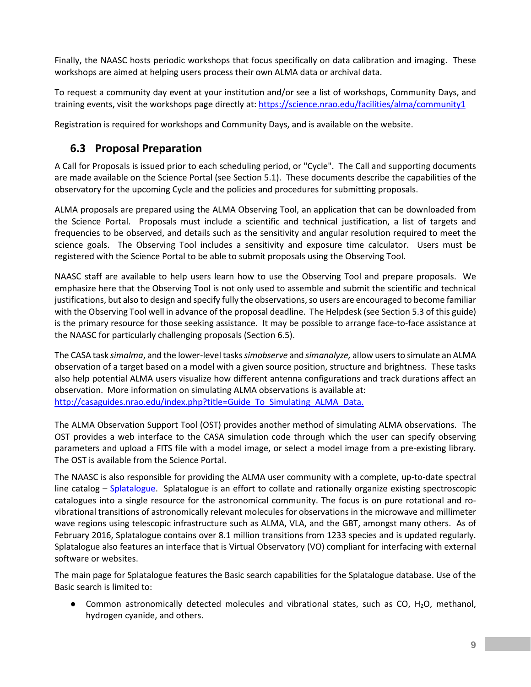Finally, the NAASC hosts periodic workshops that focus specifically on data calibration and imaging. These workshops are aimed at helping users process their own ALMA data or archival data.

To request a community day event at your institution and/or see a list of workshops, Community Days, and training events, visit the workshops page directly at:<https://science.nrao.edu/facilities/alma/community1>

Registration is required for workshops and Community Days, and is available on the website.

### <span id="page-10-0"></span>**6.3 Proposal Preparation**

A Call for Proposals is issued prior to each scheduling period, or "Cycle". The Call and supporting documents are made available on the Science Portal (see Section 5.1). These documents describe the capabilities of the observatory for the upcoming Cycle and the policies and procedures for submitting proposals.

ALMA proposals are prepared using the ALMA Observing Tool, an application that can be downloaded from the Science Portal. Proposals must include a scientific and technical justification, a list of targets and frequencies to be observed, and details such as the sensitivity and angular resolution required to meet the science goals. The Observing Tool includes a sensitivity and exposure time calculator. Users must be registered with the Science Portal to be able to submit proposals using the Observing Tool.

NAASC staff are available to help users learn how to use the Observing Tool and prepare proposals. We emphasize here that the Observing Tool is not only used to assemble and submit the scientific and technical justifications, but also to design and specify fully the observations, so users are encouraged to become familiar with the Observing Tool well in advance of the proposal deadline. The Helpdesk (see Section 5.3 of this guide) is the primary resource for those seeking assistance. It may be possible to arrange face-to-face assistance at the NAASC for particularly challenging proposals (Section 6.5).

The CASA task *simalma*, and the lower-level tasks *simobserve* and *simanalyze,* allow users to simulate an ALMA observation of a target based on a model with a given source position, structure and brightness. These tasks also help potential ALMA users visualize how different antenna configurations and track durations affect an observation. More information on simulating ALMA observations is available at: [http://casaguides.nrao.edu/index.php?title=Guide\\_To\\_Simulating\\_ALMA\\_Data.](http://casaguides.nrao.edu/index.php?title=Guide_To_Simulating_ALMA_Data)

The ALMA Observation Support Tool (OST) provides another method of simulating ALMA observations. The OST provides a web interface to the CASA simulation code through which the user can specify observing parameters and upload a FITS file with a model image, or select a model image from a pre-existing library. The OST is available from the Science Portal.

The NAASC is also responsible for providing the ALMA user community with a complete, up-to-date spectral line catalog – [Splatalogue.](http://splatalogue.online/) Splatalogue is an effort to collate and rationally organize existing spectroscopic catalogues into a single resource for the astronomical community. The focus is on pure rotational and rovibrational transitions of astronomically relevant molecules for observations in the microwave and millimeter wave regions using telescopic infrastructure such as ALMA, VLA, and the GBT, amongst many others. As of February 2016, Splatalogue contains over 8.1 million transitions from 1233 species and is updated regularly. Splatalogue also features an interface that is Virtual Observatory (VO) compliant for interfacing with external software or websites.

The main page for Splatalogue features the Basic search capabilities for the Splatalogue database. Use of the Basic search is limited to:

● Common astronomically detected molecules and vibrational states, such as CO, H<sub>2</sub>O, methanol, hydrogen cyanide, and others.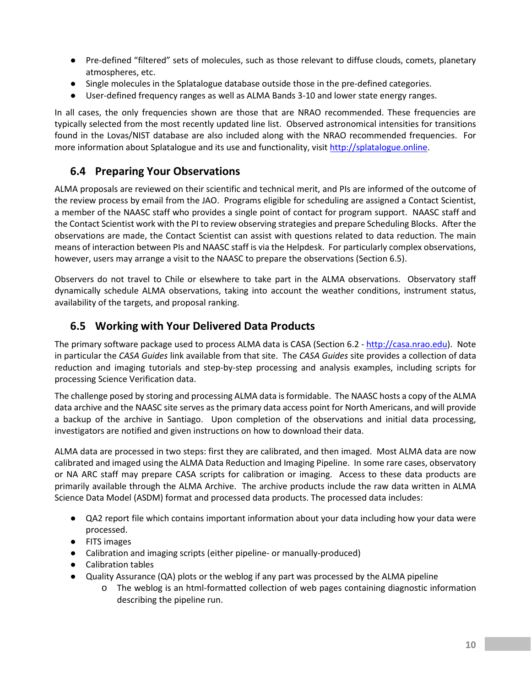- Pre-defined "filtered" sets of molecules, such as those relevant to diffuse clouds, comets, planetary atmospheres, etc.
- Single molecules in the Splatalogue database outside those in the pre-defined categories.
- User-defined frequency ranges as well as ALMA Bands 3-10 and lower state energy ranges.

In all cases, the only frequencies shown are those that are NRAO recommended. These frequencies are typically selected from the most recently updated line list. Observed astronomical intensities for transitions found in the Lovas/NIST database are also included along with the NRAO recommended frequencies. For more information about Splatalogue and its use and functionality, visit [http://splatalogue.online.](http://splatalogue.online/)

## <span id="page-11-0"></span>**6.4 Preparing Your Observations**

ALMA proposals are reviewed on their scientific and technical merit, and PIs are informed of the outcome of the review process by email from the JAO. Programs eligible for scheduling are assigned a Contact Scientist, a member of the NAASC staff who provides a single point of contact for program support. NAASC staff and the Contact Scientist work with the PI to review observing strategies and prepare Scheduling Blocks. After the observations are made, the Contact Scientist can assist with questions related to data reduction. The main means of interaction between PIs and NAASC staff is via the Helpdesk. For particularly complex observations, however, users may arrange a visit to the NAASC to prepare the observations (Section 6.5).

Observers do not travel to Chile or elsewhere to take part in the ALMA observations. Observatory staff dynamically schedule ALMA observations, taking into account the weather conditions, instrument status, availability of the targets, and proposal ranking.

#### <span id="page-11-1"></span>**6.5 Working with Your Delivered Data Products**

The primary software package used to process ALMA data is CASA (Section 6.2 - [http://casa.nrao.edu\)](http://casa.nrao.edu/). Note in particular the *CASA Guides* link available from that site. The *CASA Guides* site provides a collection of data reduction and imaging tutorials and step-by-step processing and analysis examples, including scripts for processing Science Verification data.

The challenge posed by storing and processing ALMA data is formidable. The NAASC hosts a copy of the ALMA data archive and the NAASC site serves as the primary data access point for North Americans, and will provide a backup of the archive in Santiago. Upon completion of the observations and initial data processing, investigators are notified and given instructions on how to download their data.

ALMA data are processed in two steps: first they are calibrated, and then imaged. Most ALMA data are now calibrated and imaged using the ALMA Data Reduction and Imaging Pipeline. In some rare cases, observatory or NA ARC staff may prepare CASA scripts for calibration or imaging. Access to these data products are primarily available through the ALMA Archive. The archive products include the raw data written in ALMA Science Data Model (ASDM) format and processed data products. The processed data includes:

- QA2 report file which contains important information about your data including how your data were processed.
- FITS images
- Calibration and imaging scripts (either pipeline- or manually-produced)
- Calibration tables
- Quality Assurance (QA) plots or the weblog if any part was processed by the ALMA pipeline
	- o The weblog is an html-formatted collection of web pages containing diagnostic information describing the pipeline run.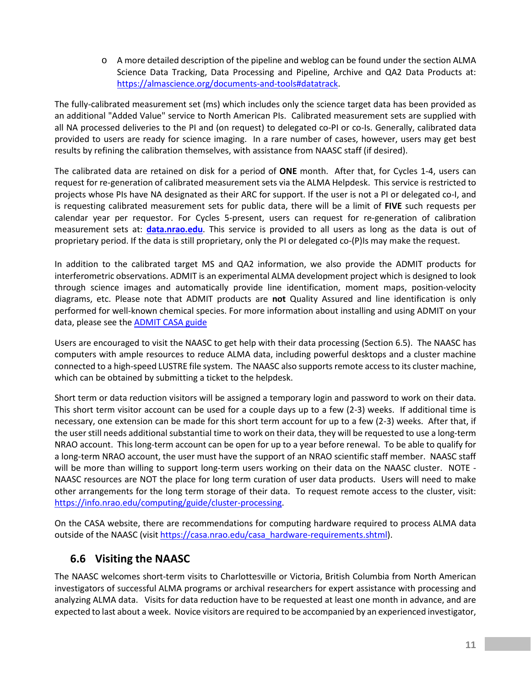o A more detailed description of the pipeline and weblog can be found under the section ALMA Science Data Tracking, Data Processing and Pipeline, Archive and QA2 Data Products at: [https://almascience.org/documents-and-tools#datatrack.](https://almascience.org/documents-and-tools#datatrack)

The fully-calibrated measurement set (ms) which includes only the science target data has been provided as an additional "Added Value" service to North American PIs. Calibrated measurement sets are supplied with all NA processed deliveries to the PI and (on request) to delegated co-PI or co-Is. Generally, calibrated data provided to users are ready for science imaging. In a rare number of cases, however, users may get best results by refining the calibration themselves, with assistance from NAASC staff (if desired).

The calibrated data are retained on disk for a period of **ONE** month. After that, for Cycles 1-4, users can request for re-generation of calibrated measurement sets via the ALMA Helpdesk. This service is restricted to projects whose PIs have NA designated as their ARC for support. If the user is not a PI or delegated co-I, and is requesting calibrated measurement sets for public data, there will be a limit of **FIVE** such requests per calendar year per requestor. For Cycles 5-present, users can request for re-generation of calibration measurement sets at: **[data.nrao.edu](https://data.nrao.edu/)**. This service is provided to all users as long as the data is out of proprietary period. If the data is still proprietary, only the PI or delegated co-(P)Is may make the request.

In addition to the calibrated target MS and QA2 information, we also provide the ADMIT products for interferometric observations. ADMIT is an experimental ALMA development project which is designed to look through science images and automatically provide line identification, moment maps, position-velocity diagrams, etc. Please note that ADMIT products are **not** Quality Assured and line identification is only performed for well-known chemical species. For more information about installing and using ADMIT on your data, please see th[e ADMIT CASA guide](https://casaguides.nrao.edu/index.php?title=ADMIT_Products_and_Usage)

Users are encouraged to visit the NAASC to get help with their data processing (Section 6.5). The NAASC has computers with ample resources to reduce ALMA data, including powerful desktops and a cluster machine connected to a high-speed LUSTRE file system. The NAASC also supports remote access to its cluster machine, which can be obtained by submitting a ticket to the helpdesk.

Short term or data reduction visitors will be assigned a temporary login and password to work on their data. This short term visitor account can be used for a couple days up to a few (2-3) weeks. If additional time is necessary, one extension can be made for this short term account for up to a few (2-3) weeks. After that, if the user still needs additional substantial time to work on their data, they will be requested to use a long-term NRAO account. This long-term account can be open for up to a year before renewal. To be able to qualify for a long-term NRAO account, the user must have the support of an NRAO scientific staff member. NAASC staff will be more than willing to support long-term users working on their data on the NAASC cluster. NOTE -NAASC resources are NOT the place for long term curation of user data products. Users will need to make other arrangements for the long term storage of their data. To request remote access to the cluster, visit: [https://info.nrao.edu/computing/guide/cluster-processing.](https://info.nrao.edu/computing/guide/cluster-processing)

On the CASA website, there are recommendations for computing hardware required to process ALMA data outside of the NAASC (visit [https://casa.nrao.edu/casa\\_hardware-requirements.shtml\)](https://casa.nrao.edu/casa_hardware-requirements.shtml).

#### <span id="page-12-0"></span>**6.6 Visiting the NAASC**

The NAASC welcomes short-term visits to Charlottesville or Victoria, British Columbia from North American investigators of successful ALMA programs or archival researchers for expert assistance with processing and analyzing ALMA data. Visits for data reduction have to be requested at least one month in advance, and are expected to last about a week. Novice visitors are required to be accompanied by an experienced investigator,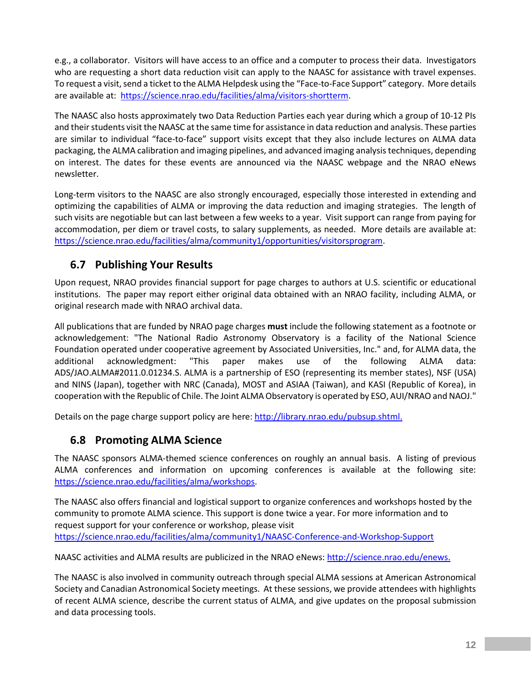e.g., a collaborator. Visitors will have access to an office and a computer to process their data. Investigators who are requesting a short data reduction visit can apply to the NAASC for assistance with travel expenses. To request a visit, send a ticket to the ALMA Helpdesk using the "Face-to-Face Support" category. More details are available at: [https://science.nrao.edu/facilities/alma/visitors-shortterm.](https://science.nrao.edu/facilities/alma/visitors-shortterm)

The NAASC also hosts approximately two Data Reduction Parties each year during which a group of 10-12 PIs and their students visit the NAASC at the same time for assistance in data reduction and analysis. These parties are similar to individual "face-to-face" support visits except that they also include lectures on ALMA data packaging, the ALMA calibration and imaging pipelines, and advanced imaging analysis techniques, depending on interest. The dates for these events are announced via the NAASC webpage and the NRAO eNews newsletter.

Long-term visitors to the NAASC are also strongly encouraged, especially those interested in extending and optimizing the capabilities of ALMA or improving the data reduction and imaging strategies. The length of such visits are negotiable but can last between a few weeks to a year. Visit support can range from paying for accommodation, per diem or travel costs, to salary supplements, as needed. More details are available at: [https://science.nrao.edu/facilities/alma/community1/opportunities/visitorsprogram.](https://science.nrao.edu/facilities/alma/community1/opportunities/visitorsprogram)

#### <span id="page-13-0"></span>**6.7 Publishing Your Results**

Upon request, NRAO provides financial support for page charges to authors at U.S. scientific or educational institutions. The paper may report either original data obtained with an NRAO facility, including ALMA, or original research made with NRAO archival data.

All publications that are funded by NRAO page charges **must** include the following statement as a footnote or acknowledgement: "The National Radio Astronomy Observatory is a facility of the National Science Foundation operated under cooperative agreement by Associated Universities, Inc." and, for ALMA data, the additional acknowledgment: "This paper makes use of the following ALMA data: ADS/JAO.ALMA#2011.0.01234.S. ALMA is a partnership of ESO (representing its member states), NSF (USA) and NINS (Japan), together with NRC (Canada), MOST and ASIAA (Taiwan), and KASI (Republic of Korea), in cooperation with the Republic of Chile. The Joint ALMA Observatory is operated by ESO, AUI/NRAO and NAOJ."

Details on the page charge support policy are here[: http://library.nrao.edu/pubsup.shtml.](http://library.nrao.edu/pubsup.shtml)

#### <span id="page-13-1"></span>**6.8 Promoting ALMA Science**

The NAASC sponsors ALMA-themed science conferences on roughly an annual basis. A listing of previous ALMA conferences and information on upcoming conferences is available at the following site: [https://science.nrao.edu/facilities/alma/workshops.](https://science.nrao.edu/facilities/alma/workshops)

The NAASC also offers financial and logistical support to organize conferences and workshops hosted by the community to promote ALMA science. This support is done twice a year. For more information and to request support for your conference or workshop, please visit <https://science.nrao.edu/facilities/alma/community1/NAASC-Conference-and-Workshop-Support>

NAASC activities and ALMA results are publicized in the NRAO eNews: [http://science.nrao.edu/enews.](http://science.nrao.edu/enews)

The NAASC is also involved in community outreach through special ALMA sessions at American Astronomical Society and Canadian Astronomical Society meetings. At these sessions, we provide attendees with highlights of recent ALMA science, describe the current status of ALMA, and give updates on the proposal submission and data processing tools.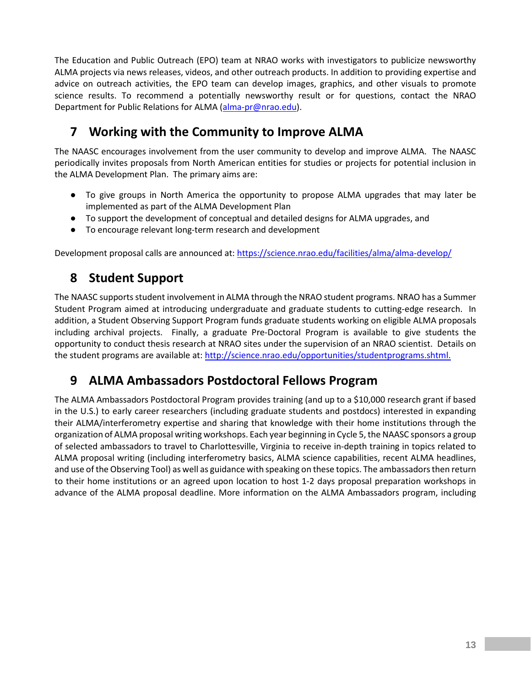The Education and Public Outreach (EPO) team at NRAO works with investigators to publicize newsworthy ALMA projects via news releases, videos, and other outreach products. In addition to providing expertise and advice on outreach activities, the EPO team can develop images, graphics, and other visuals to promote science results. To recommend a potentially newsworthy result or for questions, contact the NRAO Department for Public Relations for ALMA [\(alma-pr@nrao.edu\)](mailto:alma-pr@nrao.edu).

# <span id="page-14-0"></span>**7 Working with the Community to Improve ALMA**

The NAASC encourages involvement from the user community to develop and improve ALMA. The NAASC periodically invites proposals from North American entities for studies or projects for potential inclusion in the ALMA Development Plan. The primary aims are:

- To give groups in North America the opportunity to propose ALMA upgrades that may later be implemented as part of the ALMA Development Plan
- To support the development of conceptual and detailed designs for ALMA upgrades, and
- To encourage relevant long-term research and development

Development proposal calls are announced at:<https://science.nrao.edu/facilities/alma/alma-develop/>

# <span id="page-14-1"></span>**8 Student Support**

The NAASC supports student involvement in ALMA through the NRAO student programs. NRAO has a Summer Student Program aimed at introducing undergraduate and graduate students to cutting-edge research. In addition, a Student Observing Support Program funds graduate students working on eligible ALMA proposals including archival projects. Finally, a graduate Pre-Doctoral Program is available to give students the opportunity to conduct thesis research at NRAO sites under the supervision of an NRAO scientist. Details on the student programs are available at: [http://science.nrao.edu/opportunities/studentprograms.shtml.](http://science.nrao.edu/opportunities/studentprograms.shtml)

# <span id="page-14-2"></span>**9 ALMA Ambassadors Postdoctoral Fellows Program**

The ALMA Ambassadors Postdoctoral Program provides training (and up to a \$10,000 research grant if based in the U.S.) to early career researchers (including graduate students and postdocs) interested in expanding their ALMA/interferometry expertise and sharing that knowledge with their home institutions through the organization of ALMA proposal writing workshops. Each year beginning in Cycle 5, the NAASC sponsors a group of selected ambassadors to travel to Charlottesville, Virginia to receive in-depth training in topics related to ALMA proposal writing (including interferometry basics, ALMA science capabilities, recent ALMA headlines, and use of the Observing Tool) as well as guidance with speaking on these topics. The ambassadorsthen return to their home institutions or an agreed upon location to host 1-2 days proposal preparation workshops in advance of the ALMA proposal deadline. More information on the ALMA Ambassadors program, including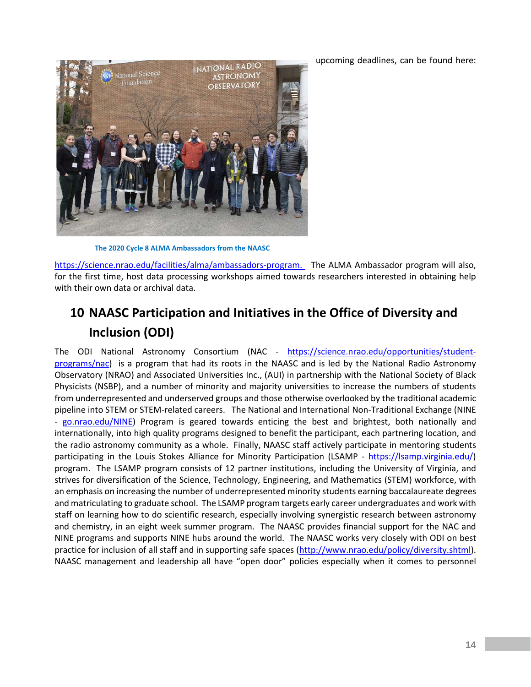upcoming deadlines, can be found here:



**The 2020 Cycle 8 ALMA Ambassadors from the NAASC**

[https://science.nrao.edu/facilities/alma/ambassadors-program.](https://science.nrao.edu/facilities/alma/ambassadors-program) The ALMA Ambassador program will also, for the first time, host data processing workshops aimed towards researchers interested in obtaining help with their own data or archival data.

# <span id="page-15-0"></span>**10 NAASC Participation and Initiatives in the Office of Diversity and Inclusion (ODI)**

The ODI National Astronomy Consortium (NAC - [https://science.nrao.edu/opportunities/student](https://science.nrao.edu/opportunities/student-programs/nac)[programs/nac\)](https://science.nrao.edu/opportunities/student-programs/nac) is a program that had its roots in the NAASC and is led by the National Radio Astronomy Observatory (NRAO) and Associated Universities Inc., (AUI) in partnership with the National Society of Black Physicists (NSBP), and a number of minority and majority universities to increase the numbers of students from underrepresented and underserved groups and those otherwise overlooked by the traditional academic pipeline into STEM or STEM-related careers. The National and International Non-Traditional Exchange (NINE - [go.nrao.edu/NINE\)](http://go.nrao.edu/NINE) Program is geared towards enticing the best and brightest, both nationally and internationally, into high quality programs designed to benefit the participant, each partnering location, and the radio astronomy community as a whole. Finally, NAASC staff actively participate in mentoring students participating in the Louis Stokes Alliance for Minority Participation (LSAMP - [https://lsamp.virginia.edu/\)](https://lsamp.virginia.edu/) program. The LSAMP program consists of 12 partner institutions, including the University of Virginia, and strives for diversification of the Science, Technology, Engineering, and Mathematics (STEM) workforce, with an emphasis on increasing the number of underrepresented minority students earning baccalaureate degrees and matriculating to graduate school. The LSAMP program targets early career undergraduates and work with staff on learning how to do scientific research, especially involving synergistic research between astronomy and chemistry, in an eight week summer program. The NAASC provides financial support for the NAC and NINE programs and supports NINE hubs around the world. The NAASC works very closely with ODI on best practice for inclusion of all staff and in supporting safe spaces [\(http://www.nrao.edu/policy/diversity.shtml\)](http://www.nrao.edu/policy/diversity.shtml). NAASC management and leadership all have "open door" policies especially when it comes to personnel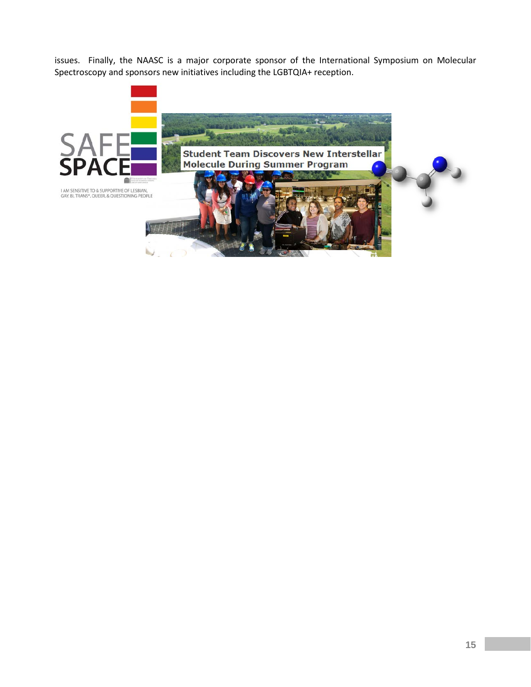issues. Finally, the NAASC is a major corporate sponsor of the International Symposium on Molecular Spectroscopy and sponsors new initiatives including the LGBTQIA+ reception.

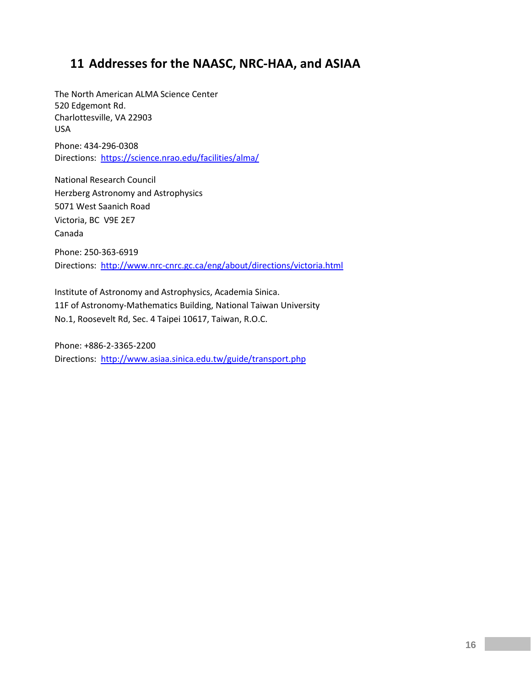# <span id="page-17-0"></span>**11 Addresses for the NAASC, NRC-HAA, and ASIAA**

The North American ALMA Science Center 520 Edgemont Rd. Charlottesville, VA 22903 USA

Phone: 434-296-0308 Directions: <https://science.nrao.edu/facilities/alma/>

National Research Council Herzberg Astronomy and Astrophysics 5071 West Saanich Road Victoria, BC V9E 2E7 Canada Phone: 250-363-6919 Directions: <http://www.nrc-cnrc.gc.ca/eng/about/directions/victoria.html>

Institute of Astronomy and Astrophysics, Academia Sinica. 11F of Astronomy-Mathematics Building, National Taiwan University No.1, Roosevelt Rd, Sec. 4 Taipei 10617, Taiwan, R.O.C.

Phone: +886-2-3365-2200 Directions: <http://www.asiaa.sinica.edu.tw/guide/transport.php>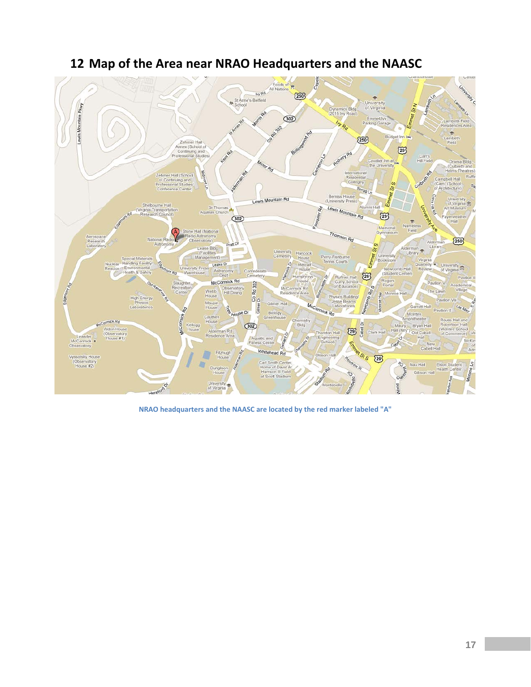<span id="page-18-0"></span>

## **Map of the Area near NRAO Headquarters and the NAASC**

**NRAO headquarters and the NAASC are located by the red marker labeled "A"**